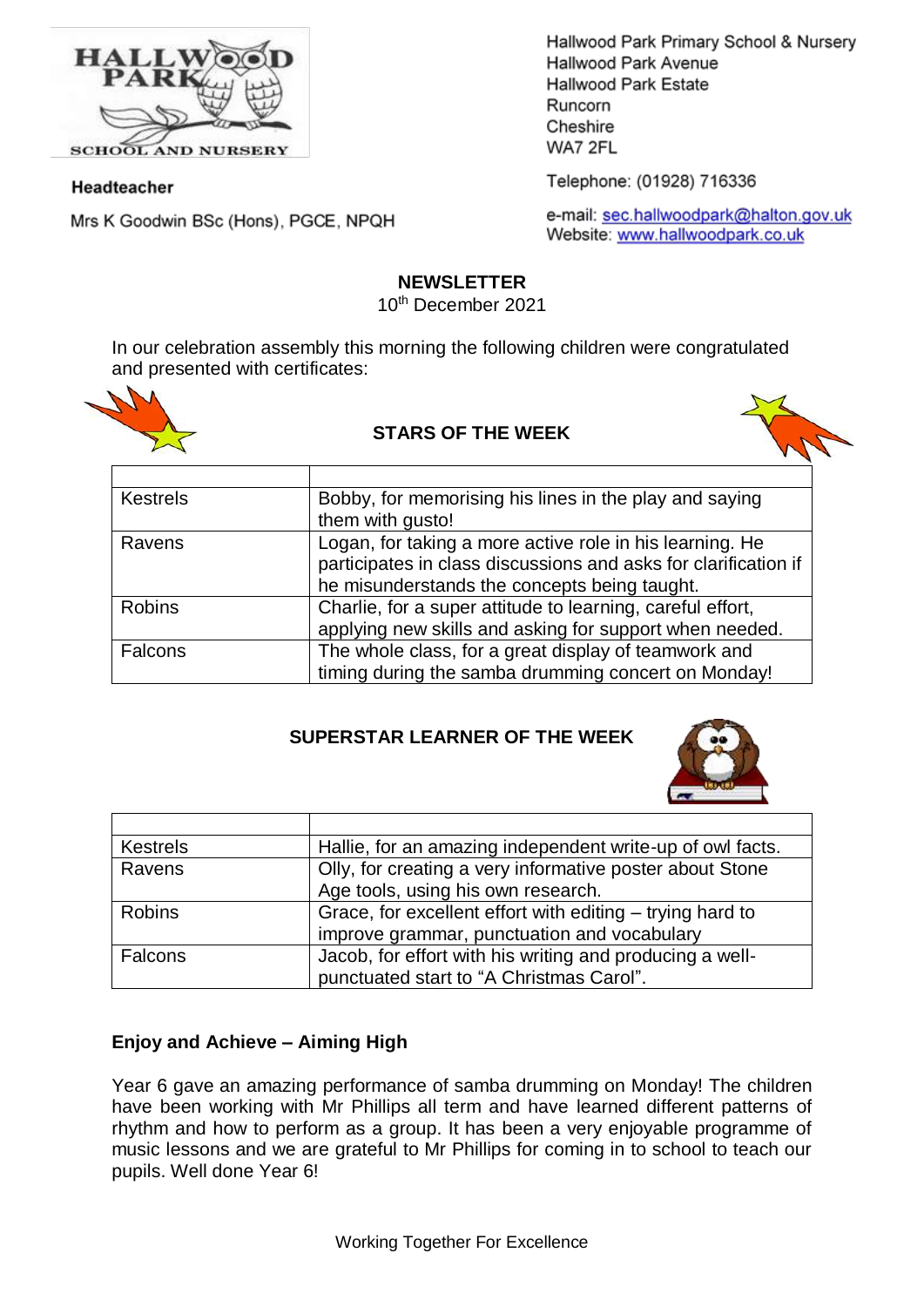

**SCHOOL AND NURSERY** 

#### Headteacher

Mrs K Goodwin BSc (Hons), PGCE, NPQH

Hallwood Park Primary School & Nursery Hallwood Park Avenue Hallwood Park Estate Runcorn Cheshire WA7 2FL

Telephone: (01928) 716336

e-mail: sec.hallwoodpark@halton.gov.uk Website: www.hallwoodpark.co.uk

#### **NEWSLETTER**

10th December 2021

In our celebration assembly this morning the following children were congratulated and presented with certificates:



#### **STARS OF THE WEEK**



| <b>Kestrels</b> | Bobby, for memorising his lines in the play and saying          |
|-----------------|-----------------------------------------------------------------|
|                 | them with qusto!                                                |
| Ravens          | Logan, for taking a more active role in his learning. He        |
|                 | participates in class discussions and asks for clarification if |
|                 | he misunderstands the concepts being taught.                    |
| <b>Robins</b>   | Charlie, for a super attitude to learning, careful effort,      |
|                 | applying new skills and asking for support when needed.         |
| Falcons         | The whole class, for a great display of teamwork and            |
|                 | timing during the samba drumming concert on Monday!             |

# **SUPERSTAR LEARNER OF THE WEEK**



| <b>Kestrels</b> | Hallie, for an amazing independent write-up of owl facts. |
|-----------------|-----------------------------------------------------------|
| Ravens          | Olly, for creating a very informative poster about Stone  |
|                 | Age tools, using his own research.                        |
| <b>Robins</b>   | Grace, for excellent effort with editing – trying hard to |
|                 | improve grammar, punctuation and vocabulary               |
| Falcons         | Jacob, for effort with his writing and producing a well-  |
|                 | punctuated start to "A Christmas Carol".                  |

# **Enjoy and Achieve – Aiming High**

Year 6 gave an amazing performance of samba drumming on Monday! The children have been working with Mr Phillips all term and have learned different patterns of rhythm and how to perform as a group. It has been a very enjoyable programme of music lessons and we are grateful to Mr Phillips for coming in to school to teach our pupils. Well done Year 6!